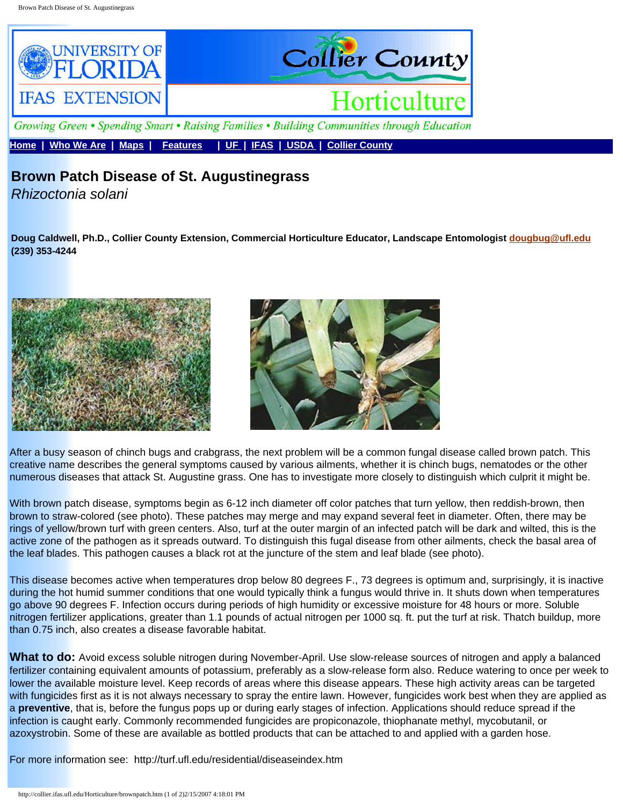

**[Home](http://collier.ifas.ufl.edu/index.htm) | [Who We Are](http://collier.ifas.ufl.edu/who.htm) | [Maps](http://collier.ifas.ufl.edu/map.htm) | [Features](http://collier.ifas.ufl.edu/HLC/comegrow.htm) | [UF](http://www.ufl.edu/) | [IFAS](http://www.ifas.ufl.edu/) | [USDA](http://www.usda.gov/) | [Collier County](http://www.colliergov.net/)**

## **Brown Patch Disease of St. Augustinegrass**

*Rhizoctonia solani*

**Doug Caldwell, Ph.D., Collier County Extension, Commercial Horticulture Educator, Landscape Entomologist [dougbug@ufl.edu](mailto:dlcaldwell@ifas.ufl.edu)  (239) 353-4244**





After a busy season of chinch bugs and crabgrass, the next problem will be a common fungal disease called brown patch. This creative name describes the general symptoms caused by various ailments, whether it is chinch bugs, nematodes or the other numerous diseases that attack St. Augustine grass. One has to investigate more closely to distinguish which culprit it might be.

With brown patch disease, symptoms begin as 6-12 inch diameter off color patches that turn yellow, then reddish-brown, then brown to straw-colored (see photo). These patches may merge and may expand several feet in diameter. Often, there may be rings of yellow/brown turf with green centers. Also, turf at the outer margin of an infected patch will be dark and wilted, this is the active zone of the pathogen as it spreads outward. To distinguish this fugal disease from other ailments, check the basal area of the leaf blades. This pathogen causes a black rot at the juncture of the stem and leaf blade (see photo).

This disease becomes active when temperatures drop below 80 degrees F., 73 degrees is optimum and, surprisingly, it is inactive during the hot humid summer conditions that one would typically think a fungus would thrive in. It shuts down when temperatures go above 90 degrees F. Infection occurs during periods of high humidity or excessive moisture for 48 hours or more. Soluble nitrogen fertilizer applications, greater than 1.1 pounds of actual nitrogen per 1000 sq. ft. put the turf at risk. Thatch buildup, more than 0.75 inch, also creates a disease favorable habitat.

**What to do:** Avoid excess soluble nitrogen during November-April. Use slow-release sources of nitrogen and apply a balanced fertilizer containing equivalent amounts of potassium, preferably as a slow-release form also. Reduce watering to once per week to lower the available moisture level. Keep records of areas where this disease appears. These high activity areas can be targeted with fungicides first as it is not always necessary to spray the entire lawn. However, fungicides work best when they are applied as a **preventive**, that is, before the fungus pops up or during early stages of infection. Applications should reduce spread if the infection is caught early. Commonly recommended fungicides are propiconazole, thiophanate methyl, mycobutanil, or azoxystrobin. Some of these are available as bottled products that can be attached to and applied with a garden hose.

For more information see: http://turf.ufl.edu/residential/diseaseindex.htm